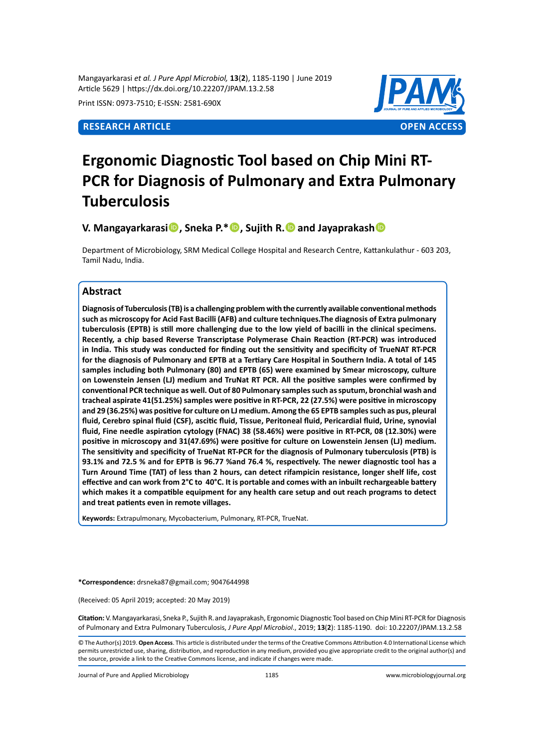Mangayarkarasi *et al. J Pure Appl Microbiol,* **13**(**2**), 1185-1190 | June 2019 Article 5629 | https://dx.doi.org/10.22207/JPAM.13.2.58

Print ISSN: 0973-7510; E-ISSN: 2581-690X



# **Ergonomic Diagnostic Tool based on Chip Mini RT-PCR for Diagnosis of Pulmonary and Extra Pulmonary Tuberculosis**

**V. Mangayarkarasi, Sneka P.\*, Sujith R.and Jayaprakash**

Department of Microbiology, SRM Medical College Hospital and Research Centre, Kattankulathur - 603 203, Tamil Nadu, India.

# **Abstract**

**Diagnosis of Tuberculosis (TB) is a challenging problem with the currently available conventional methods such as microscopy for Acid Fast Bacilli (AFB) and culture techniques.The diagnosis of Extra pulmonary tuberculosis (EPTB) is still more challenging due to the low yield of bacilli in the clinical specimens. Recently, a chip based Reverse Transcriptase Polymerase Chain Reaction (RT-PCR) was introduced in India. This study was conducted for finding out the sensitivity and specificity of TrueNAT RT-PCR for the diagnosis of Pulmonary and EPTB at a Tertiary Care Hospital in Southern India. A total of 145 samples including both Pulmonary (80) and EPTB (65) were examined by Smear microscopy, culture on Lowenstein Jensen (LJ) medium and TruNat RT PCR. All the positive samples were confirmed by conventional PCR technique as well. Out of 80 Pulmonary samples such as sputum, bronchial wash and tracheal aspirate 41(51.25%) samples were positive in RT-PCR, 22 (27.5%) were positive in microscopy and 29 (36.25%) was positive for culture on LJ medium. Among the 65 EPTB samples such as pus, pleural fluid, Cerebro spinal fluid (CSF), ascitic fluid, Tissue, Peritoneal fluid, Pericardial fluid, Urine, synovial fluid, Fine needle aspiration cytology (FNAC) 38 (58.46%) were positive in RT-PCR, 08 (12.30%) were positive in microscopy and 31(47.69%) were positive for culture on Lowenstein Jensen (LJ) medium. The sensitivity and specificity of TrueNat RT-PCR for the diagnosis of Pulmonary tuberculosis (PTB) is 93.1% and 72.5 % and for EPTB is 96.77 %and 76.4 %, respectively. The newer diagnostic tool has a Turn Around Time (TAT) of less than 2 hours, can detect rifampicin resistance, longer shelf life, cost effective and can work from 2°C to 40°C. It is portable and comes with an inbuilt rechargeable battery which makes it a compatible equipment for any health care setup and out reach programs to detect and treat patients even in remote villages.**

**Keywords:** Extrapulmonary, Mycobacterium, Pulmonary, RT-PCR, TrueNat.

**\*Correspondence:** drsneka87@gmail.com; 9047644998

(Received: 05 April 2019; accepted: 20 May 2019)

**Citation:** V. Mangayarkarasi, Sneka P., Sujith R.and Jayaprakash, Ergonomic Diagnostic Tool based on Chip Mini RT-PCR for Diagnosis of Pulmonary and Extra Pulmonary Tuberculosis, *J Pure Appl Microbiol*., 2019; **13**(**2**): 1185-1190. doi: 10.22207/JPAM.13.2.58

© The Author(s) 2019. **Open Access**. This article is distributed under the terms of the Creative Commons Attribution 4.0 International License which permits unrestricted use, sharing, distribution, and reproduction in any medium, provided you give appropriate credit to the original author(s) and the source, provide a link to the Creative Commons license, and indicate if changes were made.

Journal of Pure and Applied Microbiology 1185 www.microbiologyjournal.org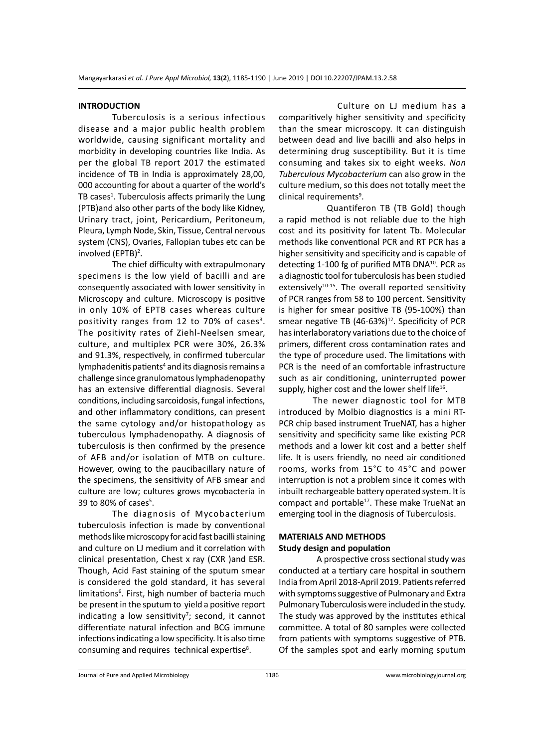### **INTRODUCTION**

Tuberculosis is a serious infectious disease and a major public health problem worldwide, causing significant mortality and morbidity in developing countries like India. As per the global TB report 2017 the estimated incidence of TB in India is approximately 28,00, 000 accounting for about a quarter of the world's TB cases<sup>1</sup>. Tuberculosis affects primarily the Lung (PTB)and also other parts of the body like Kidney, Urinary tract, joint, Pericardium, Peritoneum, Pleura, Lymph Node, Skin, Tissue, Central nervous system (CNS), Ovaries, Fallopian tubes etc can be involved (EPTB)<sup>2</sup>.

The chief difficulty with extrapulmonary specimens is the low yield of bacilli and are consequently associated with lower sensitivity in Microscopy and culture. Microscopy is positive in only 10% of EPTB cases whereas culture positivity ranges from 12 to 70% of cases<sup>3</sup>. The positivity rates of Ziehl-Neelsen smear, culture, and multiplex PCR were 30%, 26.3% and 91.3%, respectively, in confirmed tubercular lymphadenitis patients<sup>4</sup> and its diagnosis remains a challenge since granulomatous lymphadenopathy has an extensive differential diagnosis. Several conditions, including sarcoidosis, fungal infections, and other inflammatory conditions, can present the same cytology and/or histopathology as tuberculous lymphadenopathy. A diagnosis of tuberculosis is then confirmed by the presence of AFB and/or isolation of MTB on culture. However, owing to the paucibacillary nature of the specimens, the sensitivity of AFB smear and culture are low; cultures grows mycobacteria in 39 to 80% of cases $5$ .

The diagnosis of Mycobacterium tuberculosis infection is made by conventional methods like microscopy for acid fast bacilli staining and culture on LJ medium and it correlation with clinical presentation, Chest x ray (CXR )and ESR. Though, Acid Fast staining of the sputum smear is considered the gold standard, it has several limitations<sup>6</sup>. First, high number of bacteria much be present in the sputum to yield a positive report indicating a low sensitivity<sup>7</sup>; second, it cannot differentiate natural infection and BCG immune infections indicating a low specificity. It is also time consuming and requires technical expertise<sup>8</sup>.

 Culture on LJ medium has a comparitively higher sensitivity and specificity than the smear microscopy. It can distinguish between dead and live bacilli and also helps in determining drug susceptibility. But it is time consuming and takes six to eight weeks. *Non Tuberculous Mycobacterium* can also grow in the culture medium, so this does not totally meet the clinical requirements<sup>9</sup>.

 Quantiferon TB (TB Gold) though a rapid method is not reliable due to the high cost and its positivity for latent Tb. Molecular methods like conventional PCR and RT PCR has a higher sensitivity and specificity and is capable of detecting 1-100 fg of purified MTB DNA<sup>10</sup>. PCR as a diagnostic tool for tuberculosis has been studied extensively $10-15$ . The overall reported sensitivity of PCR ranges from 58 to 100 percent. Sensitivity is higher for smear positive TB (95-100%) than smear negative TB  $(46-63%)^{12}$ . Specificity of PCR has interlaboratory variations due to the choice of primers, different cross contamination rates and the type of procedure used. The limitations with PCR is the need of an comfortable infrastructure such as air conditioning, uninterrupted power supply, higher cost and the lower shelf life<sup>16</sup>.

The newer diagnostic tool for MTB introduced by Molbio diagnostics is a mini RT-PCR chip based instrument TrueNAT, has a higher sensitivity and specificity same like existing PCR methods and a lower kit cost and a better shelf life. It is users friendly, no need air conditioned rooms, works from 15°C to 45°C and power interruption is not a problem since it comes with inbuilt rechargeable battery operated system. It is compact and portable<sup>17</sup>. These make TrueNat an emerging tool in the diagnosis of Tuberculosis.

# **MATERIALS AND METHODS Study design and population**

 A prospective cross sectional study was conducted at a tertiary care hospital in southern India from April 2018-April 2019. Patients referred with symptoms suggestive of Pulmonary and Extra Pulmonary Tuberculosis were included in the study. The study was approved by the institutes ethical committee. A total of 80 samples were collected from patients with symptoms suggestive of PTB. Of the samples spot and early morning sputum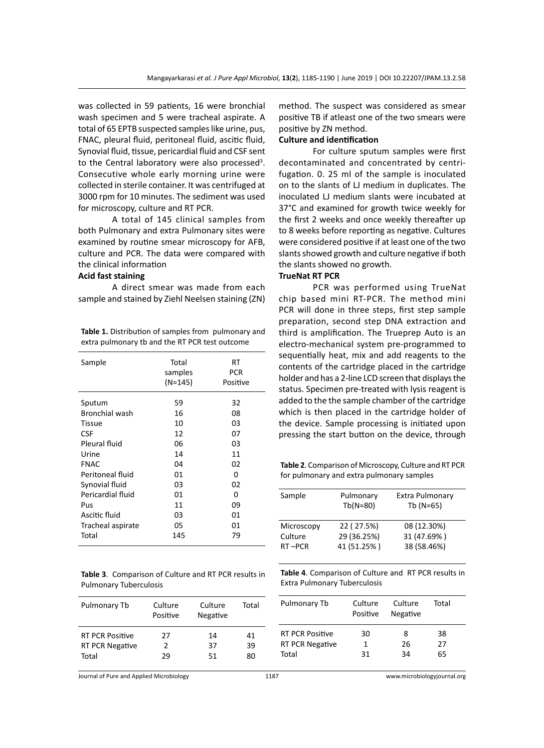was collected in 59 patients, 16 were bronchial wash specimen and 5 were tracheal aspirate. A total of 65 EPTB suspected samples like urine, pus, FNAC, pleural fluid, peritoneal fluid, ascitic fluid, Synovial fluid, tissue, pericardial fluid and CSF sent to the Central laboratory were also processed<sup>3</sup>. Consecutive whole early morning urine were collected in sterile container. It was centrifuged at 3000 rpm for 10 minutes. The sediment was used for microscopy, culture and RT PCR.

A total of 145 clinical samples from both Pulmonary and extra Pulmonary sites were examined by routine smear microscopy for AFB, culture and PCR. The data were compared with the clinical information

# **Acid fast staining**

A direct smear was made from each sample and stained by Ziehl Neelsen staining (ZN)

**Table 1.** Distribution of samples from pulmonary and extra pulmonary tb and the RT PCR test outcome

| Sample            | Total<br>samples<br>(N=145) | RT<br>PCR<br>Positive |
|-------------------|-----------------------------|-----------------------|
| Sputum            | 59                          | 32                    |
| Bronchial wash    | 16                          | 08                    |
| Tissue            | 10                          | 03                    |
| <b>CSF</b>        | 12                          | 07                    |
| Pleural fluid     | 06                          | 03                    |
| Urine             | 14                          | 11                    |
| <b>FNAC</b>       | 04                          | 02                    |
| Peritoneal fluid  | 01                          | O                     |
| Synovial fluid    | 03                          | 02                    |
| Pericardial fluid | 01                          | 0                     |
| Pus               | 11                          | 09                    |
| Ascitic fluid     | 03                          | 01                    |
| Tracheal aspirate | 05                          | 01                    |
| Total             | 145                         | 79                    |

**Table 3**. Comparison of Culture and RT PCR results in Pulmonary Tuberculosis

| Culture<br>Positive | Culture<br>Negative | Total          |
|---------------------|---------------------|----------------|
| 27<br>2<br>29       | 14<br>37<br>51      | 41<br>39<br>80 |
|                     |                     |                |

method. The suspect was considered as smear positive TB if atleast one of the two smears were positive by ZN method.

# **Culture and identification**

For culture sputum samples were first decontaminated and concentrated by centrifugation. 0. 25 ml of the sample is inoculated on to the slants of LJ medium in duplicates. The inoculated LJ medium slants were incubated at 37°C and examined for growth twice weekly for the first 2 weeks and once weekly thereafter up to 8 weeks before reporting as negative. Cultures were considered positive if at least one of the two slants showed growth and culture negative if both the slants showed no growth.

# **TrueNat RT PCR**

PCR was performed using TrueNat chip based mini RT-PCR. The method mini PCR will done in three steps, first step sample preparation, second step DNA extraction and third is amplification. The Trueprep Auto is an electro-mechanical system pre-programmed to sequentially heat, mix and add reagents to the contents of the cartridge placed in the cartridge holder and has a 2-line LCD screen that displays the status. Specimen pre-treated with lysis reagent is added to the the sample chamber of the cartridge which is then placed in the cartridge holder of the device. Sample processing is initiated upon pressing the start button on the device, through

**Table 2**. Comparison of Microscopy, Culture and RT PCR for pulmonary and extra pulmonary samples

| Sample                          | Pulmonary<br>$Tb(N=80)$                  | Extra Pulmonary<br>Tb (N=65)              |
|---------------------------------|------------------------------------------|-------------------------------------------|
| Microscopy<br>Culture<br>RT-PCR | 22 (27.5%)<br>29 (36.25%)<br>41 (51.25%) | 08 (12.30%)<br>31 (47.69%)<br>38 (58.46%) |
|                                 |                                          |                                           |

**Table 4**. Comparison of Culture and RT PCR results in Extra Pulmonary Tuberculosis

| Pulmonary Tb                                              | Culture<br>Positive | Culture<br>Negative | Total          |
|-----------------------------------------------------------|---------------------|---------------------|----------------|
| <b>RT PCR Positive</b><br><b>RT PCR Negative</b><br>Total | 30<br>31            | 8<br>26<br>34       | 38<br>27<br>65 |
|                                                           |                     |                     |                |

Journal of Pure and Applied Microbiology 1187 www.microbiologyjournal.org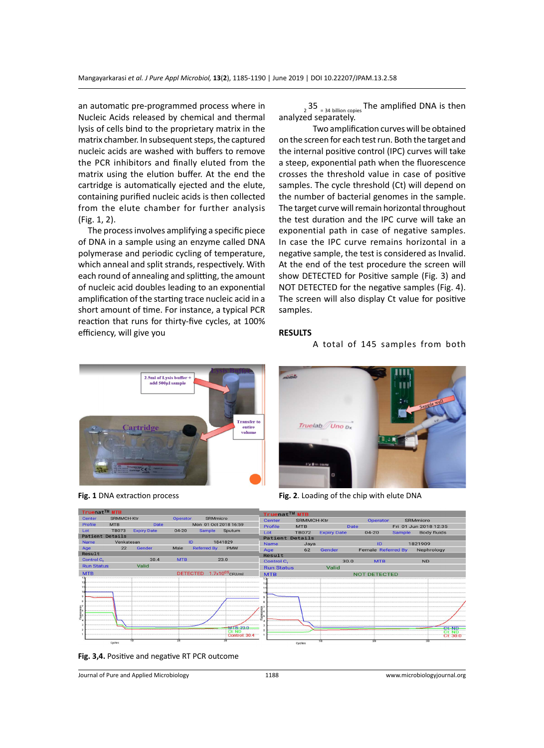an automatic pre-programmed process where in Nucleic Acids released by chemical and thermal lysis of cells bind to the proprietary matrix in the matrix chamber. In subsequent steps, the captured nucleic acids are washed with buffers to remove the PCR inhibitors and finally eluted from the matrix using the elution buffer. At the end the cartridge is automatically ejected and the elute, containing purified nucleic acids is then collected from the elute chamber for further analysis (Fig. 1, 2).

 The process involves amplifying a specific piece of DNA in a sample using an enzyme called DNA polymerase and periodic cycling of temperature, which anneal and split strands, respectively. With each round of annealing and splitting, the amount of nucleic acid doubles leading to an exponential amplification of the starting trace nucleic acid in a short amount of time. For instance, a typical PCR reaction that runs for thirty-five cycles, at 100% efficiency, will give you

 $_2$  35  $_{.24}$  billion copies The amplified DNA is then analyzed separately.

Two amplification curves will be obtained on the screen for each test run. Both the target and the internal positive control (IPC) curves will take a steep, exponential path when the fluorescence crosses the threshold value in case of positive samples. The cycle threshold (Ct) will depend on the number of bacterial genomes in the sample. The target curve will remain horizontal throughout the test duration and the IPC curve will take an exponential path in case of negative samples. In case the IPC curve remains horizontal in a negative sample, the test is considered as Invalid. At the end of the test procedure the screen will show DETECTED for Positive sample (Fig. 3) and NOT DETECTED for the negative samples (Fig. 4). The screen will also display Ct value for positive samples.

# **RESULTS**

# A total of 145 samples from both





**Fig. 1** DNA extraction process **Fig. 2**. Loading of the chip with elute DNA



**Fig. 3,4.** Positive and negative RT PCR outcome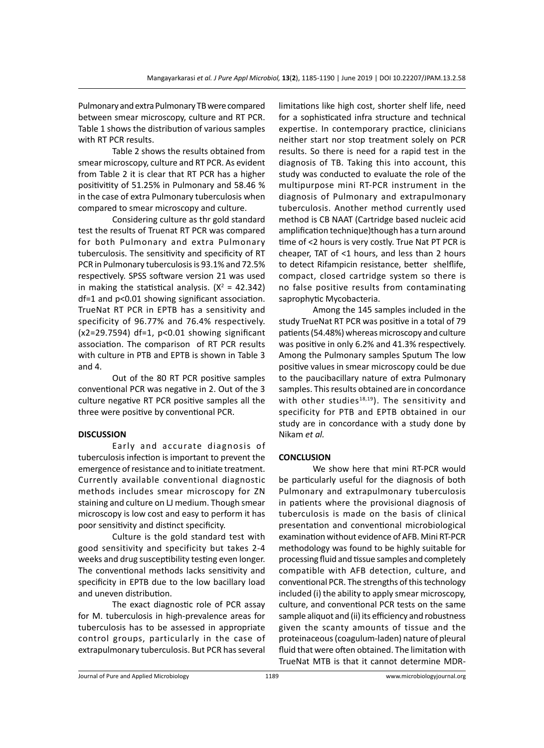Pulmonary and extra Pulmonary TB were compared between smear microscopy, culture and RT PCR. Table 1 shows the distribution of various samples with RT PCR results.

Table 2 shows the results obtained from smear microscopy, culture and RT PCR. As evident from Table 2 it is clear that RT PCR has a higher positivitity of 51.25% in Pulmonary and 58.46 % in the case of extra Pulmonary tuberculosis when compared to smear microscopy and culture.

Considering culture as thr gold standard test the results of Truenat RT PCR was compared for both Pulmonary and extra Pulmonary tuberculosis. The sensitivity and specificity of RT PCR in Pulmonary tuberculosis is 93.1% and 72.5% respectively. SPSS software version 21 was used in making the statistical analysis.  $(X^2 = 42.342)$ df=1 and p<0.01 showing significant association. TrueNat RT PCR in EPTB has a sensitivity and specificity of 96.77% and 76.4% respectively. (x2=29.7594) df=1, p<0.01 showing significant association. The comparison of RT PCR results with culture in PTB and EPTB is shown in Table 3 and 4.

Out of the 80 RT PCR positive samples conventional PCR was negative in 2. Out of the 3 culture negative RT PCR positive samples all the three were positive by conventional PCR.

# **DISCUSSION**

Early and accurate diagnosis of tuberculosis infection is important to prevent the emergence of resistance and to initiate treatment. Currently available conventional diagnostic methods includes smear microscopy for ZN staining and culture on LJ medium. Though smear microscopy is low cost and easy to perform it has poor sensitivity and distinct specificity.

Culture is the gold standard test with good sensitivity and specificity but takes 2-4 weeks and drug susceptibility testing even longer. The conventional methods lacks sensitivity and specificity in EPTB due to the low bacillary load and uneven distribution.

The exact diagnostic role of PCR assay for M. tuberculosis in high-prevalence areas for tuberculosis has to be assessed in appropriate control groups, particularly in the case of extrapulmonary tuberculosis. But PCR has several limitations like high cost, shorter shelf life, need for a sophisticated infra structure and technical expertise. In contemporary practice, clinicians neither start nor stop treatment solely on PCR results. So there is need for a rapid test in the diagnosis of TB. Taking this into account, this study was conducted to evaluate the role of the multipurpose mini RT-PCR instrument in the diagnosis of Pulmonary and extrapulmonary tuberculosis. Another method currently used method is CB NAAT (Cartridge based nucleic acid amplification technique)though has a turn around time of <2 hours is very costly. True Nat PT PCR is cheaper, TAT of <1 hours, and less than 2 hours to detect Rifampicin resistance, better shelflife, compact, closed cartridge system so there is no false positive results from contaminating saprophytic Mycobacteria.

Among the 145 samples included in the study TrueNat RT PCR was positive in a total of 79 patients (54.48%) whereas microscopy and culture was positive in only 6.2% and 41.3% respectively. Among the Pulmonary samples Sputum The low positive values in smear microscopy could be due to the paucibacillary nature of extra Pulmonary samples. This results obtained are in concordance with other studies $18,19$ ). The sensitivity and specificity for PTB and EPTB obtained in our study are in concordance with a study done by Nikam *et al.*

# **CONCLUSION**

We show here that mini RT-PCR would be particularly useful for the diagnosis of both Pulmonary and extrapulmonary tuberculosis in patients where the provisional diagnosis of tuberculosis is made on the basis of clinical presentation and conventional microbiological examination without evidence of AFB. Mini RT-PCR methodology was found to be highly suitable for processing fluid and tissue samples and completely compatible with AFB detection, culture, and conventional PCR. The strengths of this technology included (i) the ability to apply smear microscopy, culture, and conventional PCR tests on the same sample aliquot and (ii) its efficiency and robustness given the scanty amounts of tissue and the proteinaceous (coagulum-laden) nature of pleural fluid that were often obtained. The limitation with TrueNat MTB is that it cannot determine MDR-